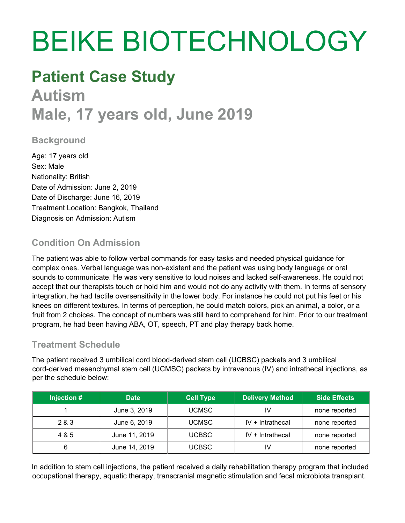# BEIKE BIOTECHNOLOGY

# **Patient Case Study Autism Male, 17 years old, June 2019**

# **Background**

Age: 17 years old Sex: Male Nationality: British Date of Admission: June 2, 2019 Date of Discharge: June 16, 2019 Treatment Location: Bangkok, Thailand Diagnosis on Admission: Autism

# **Condition On Admission**

The patient was able to follow verbal commands for easy tasks and needed physical guidance for complex ones. Verbal language was non-existent and the patient was using body language or oral sounds to communicate. He was very sensitive to loud noises and lacked self-awareness. He could not accept that our therapists touch or hold him and would not do any activity with them. In terms of sensory integration, he had tactile oversensitivity in the lower body. For instance he could not put his feet or his knees on different textures. In terms of perception, he could match colors, pick an animal, a color, or a fruit from 2 choices. The concept of numbers was still hard to comprehend for him. Prior to our treatment program, he had been having ABA, OT, speech, PT and play therapy back home.

#### **Treatment Schedule**

The patient received 3 umbilical cord blood-derived stem cell (UCBSC) packets and 3 umbilical cord-derived mesenchymal stem cell (UCMSC) packets by intravenous (IV) and intrathecal injections, as per the schedule below:

| Injection $\#$ | <b>Date</b>   | <b>Cell Type</b> | <b>Delivery Method</b> | <b>Side Effects</b> |
|----------------|---------------|------------------|------------------------|---------------------|
|                | June 3, 2019  | <b>UCMSC</b>     | IV                     | none reported       |
| 2 & 3          | June 6, 2019  | <b>UCMSC</b>     | $IV + Intrathecal$     | none reported       |
| 4 & 5          | June 11, 2019 | <b>UCBSC</b>     | $IV + Intrathecal$     | none reported       |
| 6              | June 14, 2019 | UCBSC.           | IV                     | none reported       |

In addition to stem cell injections, the patient received a daily rehabilitation therapy program that included occupational therapy, aquatic therapy, transcranial magnetic stimulation and fecal microbiota transplant.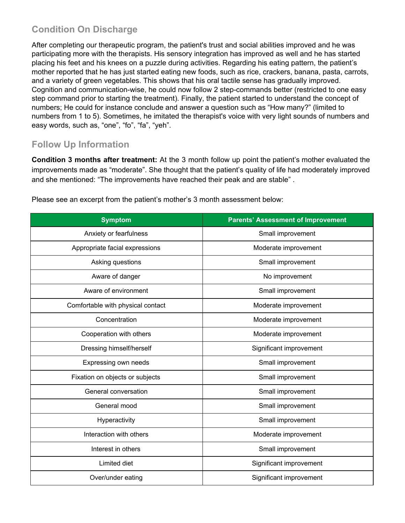# **Condition On Discharge**

After completing our therapeutic program, the patient's trust and social abilities improved and he was participating more with the therapists. His sensory integration has improved as well and he has started placing his feet and his knees on a puzzle during activities. Regarding his eating pattern, the patient's mother reported that he has just started eating new foods, such as rice, crackers, banana, pasta, carrots, and a variety of green vegetables. This shows that his oral tactile sense has gradually improved. Cognition and communication-wise, he could now follow 2 step-commands better (restricted to one easy step command prior to starting the treatment). Finally, the patient started to understand the concept of numbers; He could for instance conclude and answer a question such as "How many?" (limited to numbers from 1 to 5). Sometimes, he imitated the therapist's voice with very light sounds of numbers and easy words, such as, "one", "fo", "fa", "yeh".

#### **Follow Up Information**

**Condition 3 months after treatment:** At the 3 month follow up point the patient's mother evaluated the improvements made as "moderate". She thought that the patient's quality of life had moderately improved and she mentioned: "The improvements have reached their peak and are stable" .

| <b>Symptom</b>                    | <b>Parents' Assessment of Improvement</b> |  |
|-----------------------------------|-------------------------------------------|--|
| Anxiety or fearfulness            | Small improvement                         |  |
| Appropriate facial expressions    | Moderate improvement                      |  |
| Asking questions                  | Small improvement                         |  |
| Aware of danger                   | No improvement                            |  |
| Aware of environment              | Small improvement                         |  |
| Comfortable with physical contact | Moderate improvement                      |  |
| Concentration                     | Moderate improvement                      |  |
| Cooperation with others           | Moderate improvement                      |  |
| Dressing himself/herself          | Significant improvement                   |  |
| Expressing own needs              | Small improvement                         |  |
| Fixation on objects or subjects   | Small improvement                         |  |
| General conversation              | Small improvement                         |  |
| General mood                      | Small improvement                         |  |
| Hyperactivity                     | Small improvement                         |  |
| Interaction with others           | Moderate improvement                      |  |
| Interest in others                | Small improvement                         |  |
| Limited diet                      | Significant improvement                   |  |
| Over/under eating                 | Significant improvement                   |  |

Please see an excerpt from the patient's mother's 3 month assessment below: